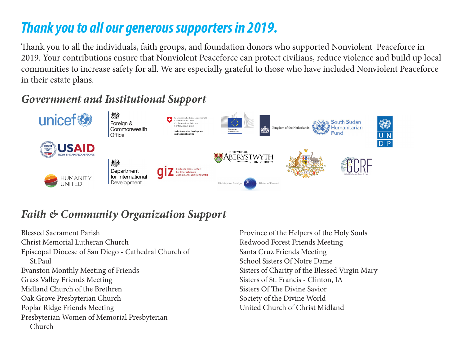# *Thank you to all our generous supporters in 2019.*

Thank you to all the individuals, faith groups, and foundation donors who supported Nonviolent Peaceforce in 2019. Your contributions ensure that Nonviolent Peaceforce can protect civilians, reduce violence and build up local communities to increase safety for all. We are especially grateful to those who have included Nonviolent Peaceforce in their estate plans.

# *Government and Institutional Support*



# *Faith & Community Organization Support*

Blessed Sacrament Parish Christ Memorial Lutheran Church Episcopal Diocese of San Diego - Cathedral Church of St.Paul Evanston Monthly Meeting of Friends Grass Valley Friends Meeting Midland Church of the Brethren Oak Grove Presbyterian Church Poplar Ridge Friends Meeting Presbyterian Women of Memorial Presbyterian Church

Province of the Helpers of the Holy Souls Redwood Forest Friends Meeting Santa Cruz Friends Meeting School Sisters Of Notre Dame Sisters of Charity of the Blessed Virgin Mary Sisters of St. Francis - Clinton, IA Sisters Of The Divine Savior Society of the Divine World United Church of Christ Midland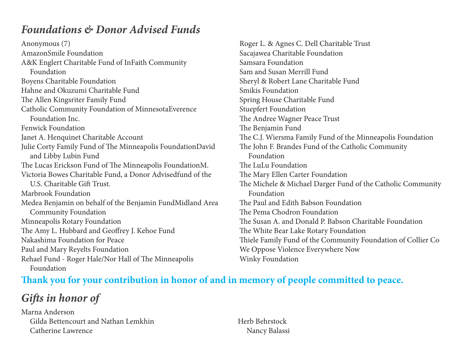## *Foundations & Donor Advised Funds*

Anonymous (7) AmazonSmile Foundation A&K Englert Charitable Fund of InFaith Community Foundation Boyens Charitable Foundation Hahne and Okuzumi Charitable Fund The Allen Kingsriter Family Fund Catholic Community Foundation of MinnesotaEverence Foundation Inc. Fenwick Foundation Janet A. Henquinet Charitable Account Julie Corty Family Fund of The Minneapolis FoundationDavid and Libby Lubin Fund The Lucas Erickson Fund of The Minneapolis FoundationM. Victoria Bowes Charitable Fund, a Donor Advisedfund of the U.S. Charitable Gift Trust. Marbrook Foundation Medea Benjamin on behalf of the Benjamin FundMidland Area Community Foundation Minneapolis Rotary Foundation The Amy L. Hubbard and Geoffrey J. Kehoe Fund Nakashima Foundation for Peace Paul and Mary Reyelts Foundation Rehael Fund - Roger Hale/Nor Hall of The Minneapolis Foundation

Roger L. & Agnes C. Dell Charitable Trust Sacajawea Charitable Foundation Samsara Foundation Sam and Susan Merrill Fund Sheryl & Robert Lane Charitable Fund Smikis Foundation Spring House Charitable Fund Stuepfert Foundation The Andree Wagner Peace Trust The Benjamin Fund The C.J. Wiersma Family Fund of the Minneapolis Foundation The John F. Brandes Fund of the Catholic Community Foundation The LuLu Foundation The Mary Ellen Carter Foundation The Michele & Michael Darger Fund of the Catholic Community Foundation The Paul and Edith Babson Foundation The Pema Chodron Foundation The Susan A. and Donald P. Babson Charitable Foundation The White Bear Lake Rotary Foundation Thiele Family Fund of the Community Foundation of Collier Co We Oppose Violence Everywhere Now Winky Foundation

#### **Thank you for your contribution in honor of and in memory of people committed to peace.**

*Gifts in honor of*

Marna Anderson Gilda Bettencourt and Nathan Lemkhin Catherine Lawrence

Herb Behrstock Nancy Balassi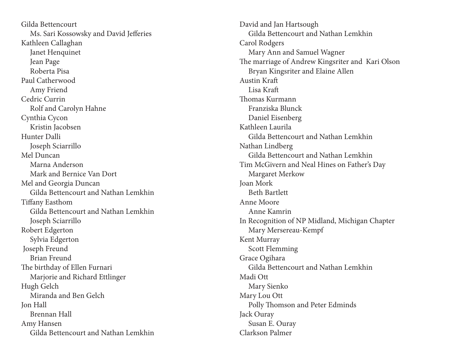Gilda Bettencourt Ms. Sari Kossowsky and David Jefferies Kathleen Callaghan Janet Henquinet Jean Page Roberta Pisa Paul Catherwood Amy Friend Cedric Currin Rolf and Carolyn Hahne Cynthia Cycon Kristin Jacobsen Hunter Dalli Joseph Sciarrillo Mel Duncan Marna Anderson Mark and Bernice Van Dort Mel and Georgia Duncan Gilda Bettencourt and Nathan Lemkhin Tiffany Easthom Gilda Bettencourt and Nathan Lemkhin Joseph Sciarrillo Robert Edgerton Sylvia Edgerton Joseph Freund Brian Freund The birthday of Ellen Furnari Marjorie and Richard Ettlinger Hugh Gelch Miranda and Ben Gelch Jon Hall Brennan Hall Amy Hansen Gilda Bettencourt and Nathan Lemkhin

David and Jan Hartsough Gilda Bettencourt and Nathan Lemkhin Carol Rodgers Mary Ann and Samuel Wagner The marriage of Andrew Kingsriter and Kari Olson Bryan Kingsriter and Elaine Allen Austin Kraft Lisa Kraft Thomas Kurmann Franziska Blunck Daniel Eisenberg Kathleen Laurila Gilda Bettencourt and Nathan Lemkhin Nathan Lindberg Gilda Bettencourt and Nathan Lemkhin Tim McGivern and Neal Hines on Father's Day Margaret Merkow Joan Mork Beth Bartlett Anne Moore Anne Kamrin In Recognition of NP Midland, Michigan Chapter Mary Mersereau-Kempf Kent Murray Scott Flemming Grace Ogihara Gilda Bettencourt and Nathan Lemkhin Madi Ott Mary Sienko Mary Lou Ott Polly Thomson and Peter Edminds Jack Ouray Susan E. Ouray Clarkson Palmer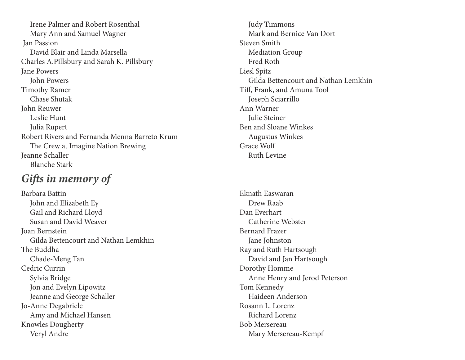Irene Palmer and Robert Rosenthal Mary Ann and Samuel Wagner Jan Passion David Blair and Linda Marsella Charles A.Pillsbury and Sarah K. Pillsbury Jane Powers John Powers Timothy Ramer Chase Shutak John Reuwer Leslie Hunt Julia Rupert Robert Rivers and Fernanda Menna Barreto Krum The Crew at Imagine Nation Brewing Jeanne Schaller Blanche Stark

### *Gifts in memory of*

Barbara Battin John and Elizabeth Ey Gail and Richard Lloyd Susan and David Weaver Joan Bernstein Gilda Bettencourt and Nathan Lemkhin The Buddha Chade-Meng Tan Cedric Currin Sylvia Bridge Jon and Evelyn Lipowitz Jeanne and George Schaller Jo-Anne Degabriele Amy and Michael Hansen Knowles Dougherty Veryl Andre

 Judy Timmons Mark and Bernice Van Dort Steven Smith Mediation Group Fred Roth Liesl Spitz Gilda Bettencourt and Nathan Lemkhin Tiff, Frank, and Amuna Tool Joseph Sciarrillo Ann Warner Julie Steiner Ben and Sloane Winkes Augustus Winkes Grace Wolf Ruth Levine

Eknath Easwaran Drew Raab Dan Everhart Catherine Webster Bernard Frazer Jane Johnston Ray and Ruth Hartsough David and Jan Hartsough Dorothy Homme Anne Henry and Jerod Peterson Tom Kennedy Haideen Anderson Rosann L. Lorenz Richard Lorenz Bob Mersereau Mary Mersereau-Kempf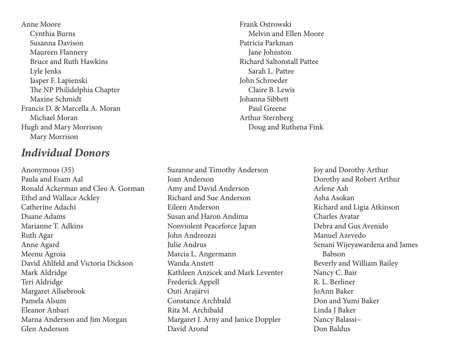Anne Moore Cynthia Burns Susanna Davison Maureen Flannery Bruce and Ruth Hawkins Lyle Jenks Jasper F. Lapienski The NP Philidelphia Chapter Maxine Schmidt Francis D. & Marcella A. Moran Michael Moran Hugh and Mary Morrison Mary Morrison

#### *Individual Donors*

Anonymous (35) Paula and Esam Aal Ronald Ackerman and Cleo A. Gorman Ethel and Wallace Ackley Catherine Adachi Duane Adams Marianne T. Adkins Ruth Agar Anne Agard Meenu Agroia David Ahlfeld and Victoria Dickson Mark Aldridge Teri Aldridge Margaret Allsebrook Pamela Alsum Eleanor Anbari Marna Anderson and Jim Morgan Glen Anderson

Frank Ostrowski Melvin and Ellen Moore Patricia Parkman Jane Johnston Richard Saltonstall Pattee Sarah L. Pattee John Schroeder Claire B. Lewis Johanna Sibbett Paul Greene Arthur Sternberg Doug and Ruthena Fink

Suzanne and Timothy Anderson Joan Anderson Amy and David Anderson Richard and Sue Anderson Eileen Anderson Susan and Haron Andima Nonviolent Peaceforce Japan John Andreozzi Julie Andrus Marcia L. Angermann Wanda Anstett Kathleen Anzicek and Mark Leventer Frederick Appell Outi Arajärvi Constance Archbald Rita M. Archibald Margaret J. Arny and Janice Doppler David Arond

Joy and Dorothy Arthur Dorothy and Robert Arthur Arlene Ash Asha Asokan Richard and Ligia Atkinson Charles Avatar Debra and Gus Avenido Manuel Azevedo Senani Wijeyawardena and James Babson Beverly and William Bailey Nancy C. Bair R. L. Berliner JoAnn Baker Don and Yumi Baker Linda J Baker Nancy Balassi~ Don Baldus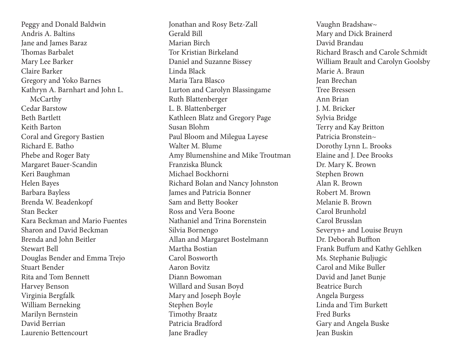Peggy and Donald Baldwin Andris A. Baltins Jane and James Baraz Thomas Barbalet Mary Lee Barker Claire Barker Gregory and Yoko Barnes Kathryn A. Barnhart and John L. McCarthy Cedar Barstow Beth Bartlett Keith Barton Coral and Gregory Bastien Richard E. Batho Phebe and Roger Baty Margaret Bauer-Scandin Keri Baughman Helen Bayes Barbara Bayless Brenda W. Beadenkopf Stan Becker Kara Beckman and Mario Fuentes Sharon and David Beckman Brenda and John Beitler Stewart Bell Douglas Bender and Emma Trejo Stuart Bender Rita and Tom Bennett Harvey Benson Virginia Bergfalk William Berneking Marilyn Bernstein David Berrian Laurenio Bettencourt

Jonathan and Rosy Betz-Zall Gerald Bill Marian Birch Tor Kristian Birkeland Daniel and Suzanne Bissey Linda Black Maria Tara Blasco Lurton and Carolyn Blassingame Ruth Blattenberger L. B. Blattenberger Kathleen Blatz and Gregory Page Susan Blohm Paul Bloom and Milegua Layese Walter M. Blume Amy Blumenshine and Mike Troutman Franziska Blunck Michael Bockhorni Richard Bolan and Nancy Johnston James and Patricia Bonner Sam and Betty Booker Ross and Vera Boone Nathaniel and Trina Borenstein Silvia Bornengo Allan and Margaret Bostelmann Martha Bostian Carol Bosworth Aaron Bovitz Diann Bowoman Willard and Susan Boyd Mary and Joseph Boyle Stephen Boyle Timothy Braatz Patricia Bradford Jane Bradley

Vaughn Bradshaw~ Mary and Dick Brainerd David Brandau Richard Brasch and Carole Schmidt William Brault and Carolyn Goolsby Marie A. Braun Jean Brechan Tree Bressen Ann Brian J. M. Bricker Sylvia Bridge Terry and Kay Britton Patricia Bronstein~ Dorothy Lynn L. Brooks Elaine and J. Dee Brooks Dr. Mary K. Brown Stephen Brown Alan R. Brown Robert M. Brown Melanie B. Brown Carol Brunholzl Carol Brusslan Severyn+ and Louise Bruyn Dr. Deborah Buffton Frank Buffum and Kathy Gehlken Ms. Stephanie Buljugic Carol and Mike Buller David and Janet Bunje Beatrice Burch Angela Burgess Linda and Tim Burkett Fred Burks Gary and Angela Buske Jean Buskin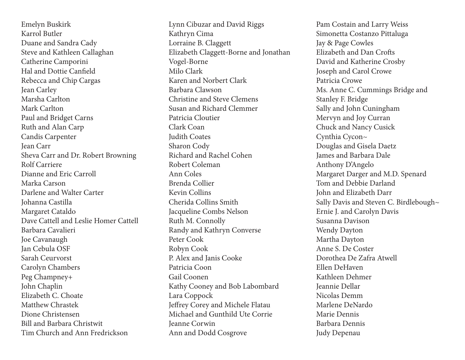Emelyn Buskirk Karrol Butler Duane and Sandra Cady Steve and Kathleen Callaghan Catherine Camporini Hal and Dottie Canfield Rebecca and Chip Cargas Jean Carley Marsha Carlton Mark Carlton Paul and Bridget Carns Ruth and Alan Carp Candis Carpenter Jean Carr Sheva Carr and Dr. Robert Browning Rolf Carriere Dianne and Eric Carroll Marka Carson Darlene and Walter Carter Johanna Castilla Margaret Cataldo Dave Cattell and Leslie Homer Cattell Barbara Cavalieri Joe Cavanaugh Jan Cebula OSF Sarah Ceurvorst Carolyn Chambers Peg Champney+ John Chaplin Elizabeth C. Choate Matthew Chrastek Dione Christensen Bill and Barbara Christwit Tim Church and Ann Fredrickson

Lynn Cibuzar and David Riggs Kathryn Cima Lorraine B. Claggett Elizabeth Claggett-Borne and Jonathan Vogel-Borne Milo Clark Karen and Norbert Clark Barbara Clawson Christine and Steve Clemens Susan and Richard Clemmer Patricia Cloutier Clark Coan Judith Coates Sharon Cody Richard and Rachel Cohen Robert Coleman Ann Coles Brenda Collier Kevin Collins Cherida Collins Smith Jacqueline Combs Nelson Ruth M. Connolly Randy and Kathryn Converse Peter Cook Robyn Cook P. Alex and Janis Cooke Patricia Coon Gail Coonen Kathy Cooney and Bob Labombard Lara Coppock Jeffrey Corey and Michele Flatau Michael and Gunthild Ute Corrie Jeanne Corwin Ann and Dodd Cosgrove

Pam Costain and Larry Weiss Simonetta Costanzo Pittaluga Jay & Page Cowles Elizabeth and Dan Crofts David and Katherine Crosby Joseph and Carol Crowe Patricia Crowe Ms. Anne C. Cummings Bridge and Stanley F. Bridge Sally and John Cuningham Mervyn and Joy Curran Chuck and Nancy Cusick Cynthia Cycon~ Douglas and Gisela Daetz James and Barbara Dale Anthony D'Angelo Margaret Darger and M.D. Spenard Tom and Debbie Darland John and Elizabeth Darr Sally Davis and Steven C. Birdlebough~ Ernie J. and Carolyn Davis Susanna Davison Wendy Dayton Martha Dayton Anne S. De Coster Dorothea De Zafra Atwell Ellen DeHaven Kathleen Dehmer Jeannie Dellar Nicolas Demm Marlene DeNardo Marie Dennis Barbara Dennis Judy Depenau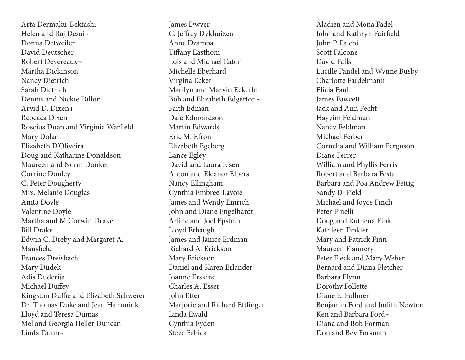Arta Dermaku-Bektashi Helen and Raj Desai~ Donna Detweiler David Deutscher Robert Devereaux~ Martha Dickinson Nancy Dietrich Sarah Dietrich Dennis and Nickie Dillon Arvid D. Dixen+ Rebecca Dixen Roscius Doan and Virginia Warfield Mary Dolan Elizabeth D'Oliveira Doug and Katharine Donaldson Maureen and Norm Donker Corrine Donley C. Peter Dougherty Mrs. Melanie Douglas Anita Doyle Valentine Doyle Martha and M Corwin Drake Bill Drake Edwin C. Dreby and Margaret A. Mansfield Frances Dreisbach Mary Dudek Adis Duderija Michael Duffey Kingston Duffie and Elizabeth Schwerer Dr. Thomas Duke and Jean Hammink Lloyd and Teresa Dumas Mel and Georgia Heller Duncan Linda Dunn~

James Dwyer C. Jeffrey Dykhuizen Anne Dzamba Tiffany Easthom Lois and Michael Eaton Michelle Eberhard Virgina Ecker Marilyn and Marvin Eckerle Bob and Elizabeth Edgerton~ Faith Edman Dale Edmondson Martin Edwards Eric M. Efron Elizabeth Egeberg Lance Egley David and Laura Eisen Anton and Eleanor Elbers Nancy Ellingham Cynthia Embree-Lavoie James and Wendy Emrich John and Diane Engelhardt Arline and Joel Epstein Lloyd Erbaugh James and Janice Erdman Richard A. Erickson Mary Erickson Daniel and Karen Erlander Joanne Erskine Charles A. Esser John Etter Marjorie and Richard Ettlinger Linda Ewald Cynthia Eyden Steve Fabick

Aladien and Mona Fadel John and Kathryn Fairfield John P. Falchi Scott Falcone David Falls Lucille Fandel and Wynne Busby Charlotte Fardelmann Elicia Faul James Fawcett Jack and Ann Fecht Hayyim Feldman Nancy Feldman Michael Ferber Cornelia and William Ferguson Diane Ferrer William and Phyllis Ferris Robert and Barbara Festa Barbara and Poa Andrew Fettig Sandy D. Field Michael and Joyce Finch Peter Finelli Doug and Ruthena Fink Kathleen Finkler Mary and Patrick Finn Maureen Flannery Peter Fleck and Mary Weber Bernard and Diana Fletcher Barbara Flynn Dorothy Follette Diane E. Follmer Benjamin Ford and Judith Newton Ken and Barbara Ford~ Diana and Bob Forman Don and Bev Forsman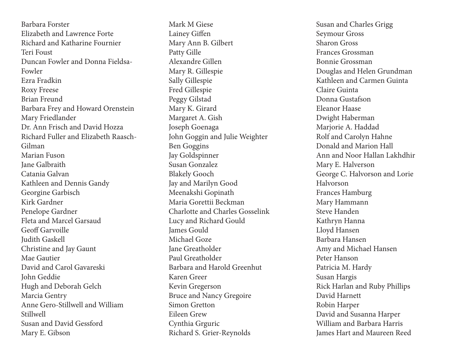Barbara Forster Elizabeth and Lawrence Forte Richard and Katharine Fournier Teri Foust Duncan Fowler and Donna Fieldsa-Fowler Ezra Fradkin Roxy Freese Brian Freund Barbara Frey and Howard Orenstein Mary Friedlander Dr. Ann Frisch and David Hozza Richard Fuller and Elizabeth Raasch-Gilman Marian Fuson Jane Galbraith Catania Galvan Kathleen and Dennis Gandy Georgine Garbisch Kirk Gardner Penelope Gardner Fleta and Marcel Garsaud Geoff Garvoille Judith Gaskell Christine and Jay Gaunt Mae Gautier David and Carol Gavareski John Geddie Hugh and Deborah Gelch Marcia Gentry Anne Gero-Stillwell and William Stillwell Susan and David Gessford Mary E. Gibson

Mark M Giese Lainey Giffen Mary Ann B. Gilbert Patty Gille Alexandre Gillen Mary R. Gillespie Sally Gillespie Fred Gillespie Peggy Gilstad Mary K. Girard Margaret A. Gish Joseph Goenaga John Goggin and Julie Weighter Ben Goggins Jay Goldspinner Susan Gonzalez Blakely Gooch Jay and Marilyn Good Meenakshi Gopinath Maria Gorettii Beckman Charlotte and Charles Gosselink Lucy and Richard Gould James Gould Michael Goze Jane Greatholder Paul Greatholder Barbara and Harold Greenhut Karen Greer Kevin Gregerson Bruce and Nancy Gregoire Simon Gretton Eileen Grew Cynthia Grguric Richard S. Grier-Reynolds

Susan and Charles Grigg Seymour Gross Sharon Gross Frances Grossman Bonnie Grossman Douglas and Helen Grundman Kathleen and Carmen Guinta Claire Guinta Donna Gustafson Eleanor Haase Dwight Haberman Marjorie A. Haddad Rolf and Carolyn Hahne Donald and Marion Hall Ann and Noor Hallan Lakhdhir Mary E. Halverson George C. Halvorson and Lorie Halvorson Frances Hamburg Mary Hammann Steve Handen Kathryn Hanna Lloyd Hansen Barbara Hansen Amy and Michael Hansen Peter Hanson Patricia M. Hardy Susan Hargis Rick Harlan and Ruby Phillips David Harnett Robin Harper David and Susanna Harper William and Barbara Harris James Hart and Maureen Reed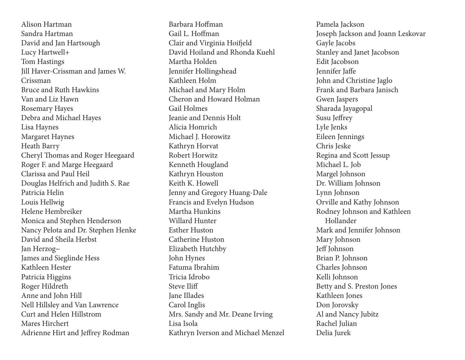Alison Hartman Sandra Hartman David and Jan Hartsough Lucy Hartwell+ Tom Hastings Jill Haver-Crissman and James W. Crissman Bruce and Ruth Hawkins Van and Liz Hawn Rosemary Hayes Debra and Michael Hayes Lisa Haynes Margaret Haynes Heath Barry Cheryl Thomas and Roger Heegaard Roger F. and Marge Heegaard Clarissa and Paul Heil Douglas Helfrich and Judith S. Rae Patricia Helin Louis Hellwig Helene Hembreiker Monica and Stephen Henderson Nancy Pelota and Dr. Stephen Henke David and Sheila Herbst Jan Herzog~ James and Sieglinde Hess Kathleen Hester Patricia Higgins Roger Hildreth Anne and John Hill Nell Hillsley and Van Lawrence Curt and Helen Hillstrom Mares Hirchert Adrienne Hirt and Jeffrey Rodman

Barbara Hoffman Gail L. Hoffman Clair and Virginia Hoifjeld David Hoiland and Rhonda Kuehl Martha Holden Jennifer Hollingshead Kathleen Holm Michael and Mary Holm Cheron and Howard Holman Gail Holmes Jeanie and Dennis Holt Alicia Homrich Michael J. Horowitz Kathryn Horvat Robert Horwitz Kenneth Hougland Kathryn Houston Keith K. Howell Jenny and Gregory Huang-Dale Francis and Evelyn Hudson Martha Hunkins Willard Hunter Esther Huston Catherine Huston Elizabeth Hutchby John Hynes Fatuma Ibrahim Tricia Idrobo Steve Iliff Jane Illades Carol Inglis Mrs. Sandy and Mr. Deane Irving Lisa Isola Kathryn Iverson and Michael Menzel Pamela Jackson Joseph Jackson and Joann Leskovar Gayle Jacobs Stanley and Janet Jacobson Edit Jacobson Jennifer Jaffe John and Christine Jaglo Frank and Barbara Janisch Gwen Jaspers Sharada Jayagopal Susu Jeffrey Lyle Jenks Eileen Jennings Chris Jeske Regina and Scott Jessup Michael L. Job Margel Johnson Dr. William Johnson Lynn Johnson Orville and Kathy Johnson Rodney Johnson and Kathleen Hollander Mark and Jennifer Johnson Mary Johnson Jeff Johnson Brian P. Johnson Charles Johnson Kelli Johnson Betty and S. Preston Jones Kathleen Jones Don Jorovsky Al and Nancy Jubitz Rachel Julian Delia Jurek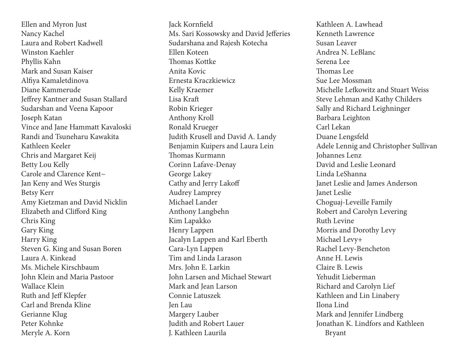Ellen and Myron Just Nancy Kachel Laura and Robert Kadwell Winston Kaehler Phyllis Kahn Mark and Susan Kaiser Alfiya Kamaletdinova Diane Kammerude Jeffrey Kantner and Susan Stallard Sudarshan and Veena Kapoor Joseph Katan Vince and Jane Hammatt Kavaloski Randi and Tsuneharu Kawakita Kathleen Keeler Chris and Margaret Keij Betty Lou Kelly Carole and Clarence Kent~ Jan Keny and Wes Sturgis Betsy Kerr Amy Kietzman and David Nicklin Elizabeth and Clifford King Chris King Gary King Harry King Steven G. King and Susan Boren Laura A. Kinkead Ms. Michele Kirschbaum John Klein and Maria Pastoor Wallace Klein Ruth and Jeff Klepfer Carl and Brenda Kline Gerianne Klug Peter Kohnke Meryle A. Korn

Jack Kornfield Ms. Sari Kossowsky and David Jefferies Sudarshana and Rajesh Kotecha Ellen Koteen Thomas Kottke Anita Kovic Ernesta Kraczkiewicz Kelly Kraemer Lisa Kraft Robin Krieger Anthony Kroll Ronald Krueger Judith Krusell and David A. Landy Benjamin Kuipers and Laura Lein Thomas Kurmann Corinn Lafave-Denay George Lakey Cathy and Jerry Lakoff Audrey Lamprey Michael Lander Anthony Langbehn Kim Lapakko Henry Lappen Jacalyn Lappen and Karl Eberth Cara-Lyn Lappen Tim and Linda Larason Mrs. John E. Larkin John Larsen and Michael Stewart Mark and Jean Larson Connie Latuszek Jen Lau Margery Lauber Judith and Robert Lauer J. Kathleen Laurila

Kathleen A. Lawhead Kenneth Lawrence Susan Leaver Andrea N. LeBlanc Serena Lee Thomas Lee Sue Lee Mossman Michelle Lefkowitz and Stuart Weiss Steve Lehman and Kathy Childers Sally and Richard Leighninger Barbara Leighton Carl Lekan Duane Lengsfeld Adele Lennig and Christopher Sullivan Johannes Lenz David and Leslie Leonard Linda LeShanna Janet Leslie and James Anderson Janet Leslie Choguaj-Leveille Family Robert and Carolyn Levering Ruth Levine Morris and Dorothy Levy Michael Levy+ Rachel Levy-Bencheton Anne H. Lewis Claire B. Lewis Yehudit Lieberman Richard and Carolyn Lief Kathleen and Lin Linabery Ilona Lind Mark and Jennifer Lindberg Jonathan K. Lindfors and Kathleen Bryant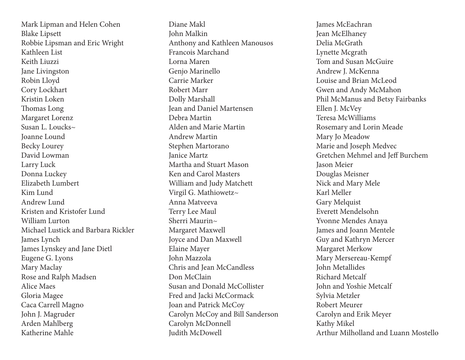Mark Lipman and Helen Cohen Blake Lipsett Robbie Lipsman and Eric Wright Kathleen List Keith Liuzzi Jane Livingston Robin Lloyd Cory Lockhart Kristin Loken Thomas Long Margaret Lorenz Susan L. Loucks~ Joanne Lound Becky Lourey David Lowman Larry Luck Donna Luckey Elizabeth Lumbert Kim Lund Andrew Lund Kristen and Kristofer Lund William Lurton Michael Lustick and Barbara Rickler James Lynch James Lynskey and Jane Dietl Eugene G. Lyons Mary Maclay Rose and Ralph Madsen Alice Maes Gloria Magee Caca Carrell Magno John J. Magruder Arden Mahlberg Katherine Mahle

Diane Makl John Malkin Anthony and Kathleen Manousos Francois Marchand Lorna Maren Genjo Marinello Carrie Marker Robert Marr Dolly Marshall Jean and Daniel Martensen Debra Martin Alden and Marie Martin Andrew Martin Stephen Martorano Janice Martz Martha and Stuart Mason Ken and Carol Masters William and Judy Matchett Virgil G. Mathiowetz~ Anna Matveeva Terry Lee Maul Sherri Maurin $\sim$ Margaret Maxwell Joyce and Dan Maxwell Elaine Mayer John Mazzola Chris and Jean McCandless Don McClain Susan and Donald McCollister Fred and Jacki McCormack Joan and Patrick McCoy Carolyn McCoy and Bill Sanderson Carolyn McDonnell Judith McDowell

James McEachran Jean McElhaney Delia McGrath Lynette Mcgrath Tom and Susan McGuire Andrew J. McKenna Louise and Brian McLeod Gwen and Andy McMahon Phil McManus and Betsy Fairbanks Ellen J. McVey Teresa McWilliams Rosemary and Lorin Meade Mary Jo Meadow Marie and Joseph Medvec Gretchen Mehmel and Jeff Burchem Jason Meier Douglas Meisner Nick and Mary Mele Karl Meller Gary Melquist Everett Mendelsohn Yvonne Mendes Anaya James and Joann Mentele Guy and Kathryn Mercer Margaret Merkow Mary Mersereau-Kempf John Metallides Richard Metcalf John and Yoshie Metcalf Sylvia Metzler Robert Meurer Carolyn and Erik Meyer Kathy Mikel Arthur Milholland and Luann Mostello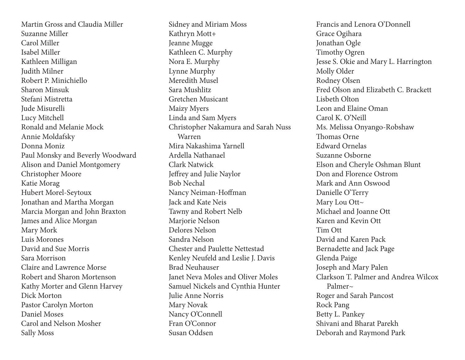Martin Gross and Claudia Miller Suzanne Miller Carol Miller Isabel Miller Kathleen Milligan Judith Milner Robert P. Minichiello Sharon Minsuk Stefani Mistretta Jude Misurelli Lucy Mitchell Ronald and Melanie Mock Annie Moldafsky Donna Moniz Paul Monsky and Beverly Woodward Alison and Daniel Montgomery Christopher Moore Katie Morag Hubert Morel-Seytoux Jonathan and Martha Morgan Marcia Morgan and John Braxton James and Alice Morgan Mary Mork Luis Morones David and Sue Morris Sara Morrison Claire and Lawrence Morse Robert and Sharon Mortenson Kathy Morter and Glenn Harvey Dick Morton Pastor Carolyn Morton Daniel Moses Carol and Nelson Mosher Sally Moss

Sidney and Miriam Moss Kathryn Mott+ Jeanne Mugge Kathleen C. Murphy Nora E. Murphy Lynne Murphy Meredith Musel Sara Mushlitz Gretchen Musicant Maizy Myers Linda and Sam Myers Christopher Nakamura and Sarah Nuss Warren Mira Nakashima Yarnell Ardella Nathanael Clark Natwick Jeffrey and Julie Naylor Bob Nechal Nancy Neiman-Hoffman Jack and Kate Neis Tawny and Robert Nelb Marjorie Nelson Delores Nelson Sandra Nelson Chester and Paulette Nettestad Kenley Neufeld and Leslie J. Davis Brad Neuhauser Janet Neva Moles and Oliver Moles Samuel Nickels and Cynthia Hunter Julie Anne Norris Mary Novak Nancy O'Connell Fran O'Connor Susan Oddsen

Francis and Lenora O'Donnell Grace Ogihara Jonathan Ogle Timothy Ogren Jesse S. Okie and Mary L. Harrington Molly Older Rodney Olsen Fred Olson and Elizabeth C. Brackett Lisbeth Olton Leon and Elaine Oman Carol K. O'Neill Ms. Melissa Onyango-Robshaw Thomas Orne Edward Ornelas Suzanne Osborne Elson and Cheryle Oshman Blunt Don and Florence Ostrom Mark and Ann Oswood Danielle O'Terry Mary Lou Ott~ Michael and Joanne Ott Karen and Kevin Ott Tim Ott David and Karen Pack Bernadette and Jack Page Glenda Paige Joseph and Mary Palen Clarkson T. Palmer and Andrea Wilcox Palmer~ Roger and Sarah Pancost Rock Pang Betty L. Pankey Shivani and Bharat Parekh Deborah and Raymond Park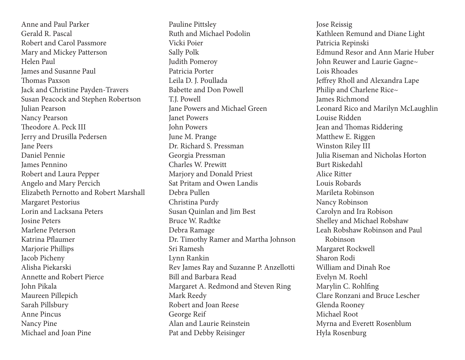Anne and Paul Parker Gerald R. Pascal Robert and Carol Passmore Mary and Mickey Patterson Helen Paul James and Susanne Paul Thomas Paxson Jack and Christine Payden-Travers Susan Peacock and Stephen Robertson Julian Pearson Nancy Pearson Theodore A. Peck III Jerry and Drusilla Pedersen Jane Peers Daniel Pennie James Pennino Robert and Laura Pepper Angelo and Mary Percich Elizabeth Pernotto and Robert Marshall Margaret Pestorius Lorin and Lacksana Peters Josine Peters Marlene Peterson Katrina Pflaumer Marjorie Phillips Jacob Picheny Alisha Piekarski Annette and Robert Pierce John Pikala Maureen Pillepich Sarah Pillsbury Anne Pincus Nancy Pine Michael and Joan Pine

Pauline Pittsley Ruth and Michael Podolin Vicki Poier Sally Polk Judith Pomeroy Patricia Porter Leila D. J. Poullada Babette and Don Powell T.J. Powell Jane Powers and Michael Green Janet Powers John Powers June M. Prange Dr. Richard S. Pressman Georgia Pressman Charles W. Prewitt Marjory and Donald Priest Sat Pritam and Owen Landis Debra Pullen Christina Purdy Susan Quinlan and Jim Best Bruce W. Radtke Debra Ramage Dr. Timothy Ramer and Martha Johnson Sri Ramesh Lynn Rankin Rev James Ray and Suzanne P. Anzellotti Bill and Barbara Read Margaret A. Redmond and Steven Ring Mark Reedy Robert and Joan Reese George Reif Alan and Laurie Reinstein Pat and Debby Reisinger

Jose Reissig Kathleen Remund and Diane Light Patricia Repinski Edmund Resor and Ann Marie Huber John Reuwer and Laurie Gagne~ Lois Rhoades Jeffrey Rholl and Alexandra Lape Philip and Charlene Rice~ James Richmond Leonard Rico and Marilyn McLaughlin Louise Ridden Jean and Thomas Riddering Matthew E. Riggen Winston Riley III Julia Riseman and Nicholas Horton Burt Riskedahl Alice Ritter Louis Robards Marileta Robinson Nancy Robinson Carolyn and Ira Robison Shelley and Michael Robshaw Leah Robshaw Robinson and Paul Robinson Margaret Rockwell Sharon Rodi William and Dinah Roe Evelyn M. Roehl Marylin C. Rohlfing Clare Ronzani and Bruce Lescher Glenda Rooney Michael Root Myrna and Everett Rosenblum Hyla Rosenburg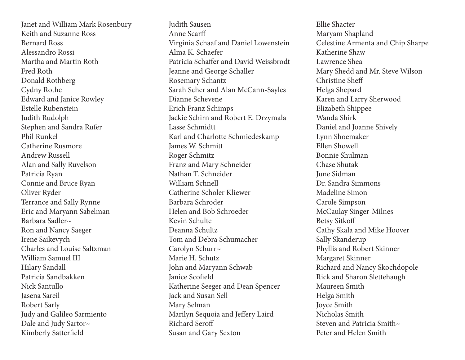Janet and William Mark Rosenbury Keith and Suzanne Ross Bernard Ross Alessandro Rossi Martha and Martin Roth Fred Roth Donald Rothberg Cydny Rothe Edward and Janice Rowley Estelle Rubenstein Judith Rudolph Stephen and Sandra Rufer Phil Runkel Catherine Rusmore Andrew Russell Alan and Sally Ruvelson Patricia Ryan Connie and Bruce Ryan Oliver Ryder Terrance and Sally Rynne Eric and Maryann Sabelman Barbara Sadler~ Ron and Nancy Saeger Irene Saikevych Charles and Louise Saltzman William Samuel III Hilary Sandall Patricia Sandbakken Nick Santullo Jasena Sareil Robert Sarly Judy and Galileo Sarmiento Dale and Judy Sartor~ Kimberly Satterfield

Judith Sausen Anne Scarff Virginia Schaaf and Daniel Lowenstein Alma K. Schaefer Patricia Schaffer and David Weissbrodt Jeanne and George Schaller Rosemary Schantz Sarah Scher and Alan McCann-Sayles Dianne Schevene Erich Franz Schimps Jackie Schirn and Robert E. Drzymala Lasse Schmidtt Karl and Charlotte Schmiedeskamp James W. Schmitt Roger Schmitz Franz and Mary Schneider Nathan T. Schneider William Schnell Catherine Scholer Kliewer Barbara Schroder Helen and Bob Schroeder Kevin Schulte Deanna Schultz Tom and Debra Schumacher Carolyn Schurr~ Marie H. Schutz John and Maryann Schwab Janice Scofield Katherine Seeger and Dean Spencer Jack and Susan Sell Mary Selman Marilyn Sequoia and Jeffery Laird Richard Seroff Susan and Gary Sexton

Ellie Shacter Maryam Shapland Celestine Armenta and Chip Sharpe Katherine Shaw Lawrence Shea Mary Shedd and Mr. Steve Wilson Christine Sheff Helga Shepard Karen and Larry Sherwood Elizabeth Shippee Wanda Shirk Daniel and Joanne Shively Lynn Shoemaker Ellen Showell Bonnie Shulman Chase Shutak June Sidman Dr. Sandra Simmons Madeline Simon Carole Simpson McCaulay Singer-Milnes Betsy Sitkoff Cathy Skala and Mike Hoover Sally Skanderup Phyllis and Robert Skinner Margaret Skinner Richard and Nancy Skochdopole Rick and Sharon Slettehaugh Maureen Smith Helga Smith Joyce Smith Nicholas Smith Steven and Patricia Smith~ Peter and Helen Smith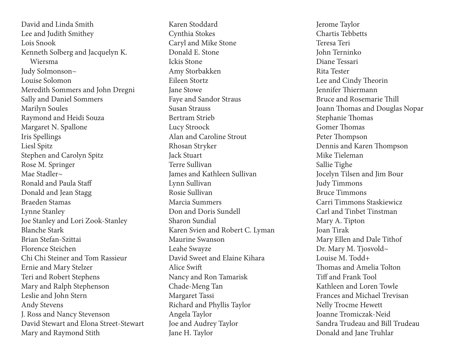David and Linda Smith Lee and Judith Smithey Lois Snook Kenneth Solberg and Jacquelyn K. Wiersma Judy Solmonson~ Louise Solomon Meredith Sommers and John Dregni Sally and Daniel Sommers Marilyn Soules Raymond and Heidi Souza Margaret N. Spallone Iris Spellings Liesl Spitz Stephen and Carolyn Spitz Rose M. Springer Mae Stadler~ Ronald and Paula Staff Donald and Jean Stagg Braeden Stamas Lynne Stanley Joe Stanley and Lori Zook-Stanley Blanche Stark Brian Stefan-Szittai Florence Steichen Chi Chi Steiner and Tom Rassieur Ernie and Mary Stelzer Teri and Robert Stephens Mary and Ralph Stephenson Leslie and John Stern Andy Stevens J. Ross and Nancy Stevenson David Stewart and Elona Street-Stewart Mary and Raymond Stith

Karen Stoddard Cynthia Stokes Caryl and Mike Stone Donald E. Stone Ickis Stone Amy Storbakken Eileen Stortz Jane Stowe Faye and Sandor Straus Susan Strauss Bertram Strieb Lucy Stroock Alan and Caroline Strout Rhosan Stryker Jack Stuart Terre Sullivan James and Kathleen Sullivan Lynn Sullivan Rosie Sullivan Marcia Summers Don and Doris Sundell Sharon Sundial Karen Svien and Robert C. Lyman Maurine Swanson Leahe Swayze David Sweet and Elaine Kihara Alice Swift Nancy and Ron Tamarisk Chade-Meng Tan Margaret Tassi Richard and Phyllis Taylor Angela Taylor Joe and Audrey Taylor Jane H. Taylor

Jerome Taylor Chartis Tebbetts Teresa Teri John Terninko Diane Tessari Rita Tester Lee and Cindy Theorin Jennifer Thiermann Bruce and Rosemarie Thill Joann Thomas and Douglas Nopar Stephanie Thomas Gomer Thomas Peter Thompson Dennis and Karen Thompson Mike Tieleman Sallie Tighe Jocelyn Tilsen and Jim Bour Judy Timmons Bruce Timmons Carri Timmons Staskiewicz Carl and Tinbet Tinstman Mary A. Tipton Joan Tirak Mary Ellen and Dale Tithof Dr. Mary M. Tjosvold~ Louise M. Todd+ Thomas and Amelia Tolton Tiff and Frank Tool Kathleen and Loren Towle Frances and Michael Trevisan Nelly Trocme Hewett Joanne Tromiczak-Neid Sandra Trudeau and Bill Trudeau Donald and Jane Truhlar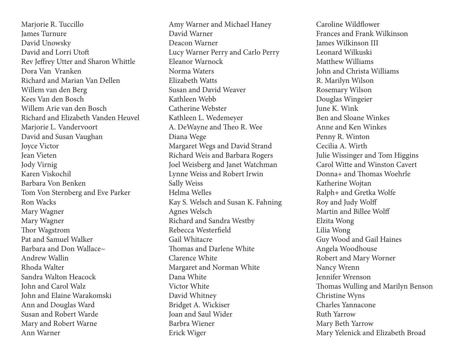Marjorie R. Tuccillo James Turnure David Unowsky David and Lorri Utoft Rev Jeffrey Utter and Sharon Whittle Dora Van Vranken Richard and Marian Van Dellen Willem van den Berg Kees Van den Bosch Willem Arie van den Bosch Richard and Elizabeth Vanden Heuvel Marjorie L. Vandervoort David and Susan Vaughan Joyce Victor Jean Vieten Jody Virnig Karen Viskochil Barbara Von Benken Tom Von Sternberg and Eve Parker Ron Wacks Mary Wagner Mary Wagner Thor Wagstrom Pat and Samuel Walker Barbara and Don Wallace~ Andrew Wallin Rhoda Walter Sandra Walton Heacock John and Carol Walz John and Elaine Warakomski Ann and Douglas Ward Susan and Robert Warde Mary and Robert Warne Ann Warner

Amy Warner and Michael Haney David Warner Deacon Warner Lucy Warner Perry and Carlo Perry Eleanor Warnock Norma Waters Elizabeth Watts Susan and David Weaver Kathleen Webb Catherine Webster Kathleen L. Wedemeyer A. DeWayne and Theo R. Wee Diana Wege Margaret Wegs and David Strand Richard Weis and Barbara Rogers Joel Weisberg and Janet Watchman Lynne Weiss and Robert Irwin Sally Weiss Helma Welles Kay S. Welsch and Susan K. Fahning Agnes Welsch Richard and Sandra Westby Rebecca Westerfield Gail Whitacre Thomas and Darlene White Clarence White Margaret and Norman White Dana White Victor White David Whitney Bridget A. Wickiser Joan and Saul Wider Barbra Wiener Erick Wiger

Caroline Wildflower Frances and Frank Wilkinson James Wilkinson III Leonard Wilkuski Matthew Williams John and Christa Williams R. Marilyn Wilson Rosemary Wilson Douglas Wingeier June K. Wink Ben and Sloane Winkes Anne and Ken Winkes Penny R. Winton Cecilia A. Wirth Julie Wissinger and Tom Higgins Carol Witte and Winston Cavert Donna+ and Thomas Woehrle Katherine Wojtan Ralph+ and Gretka Wolfe Roy and Judy Wolff Martin and Billee Wolff Elzita Wong Lilia Wong Guy Wood and Gail Haines Angela Woodhouse Robert and Mary Worner Nancy Wrenn Jennifer Wrenson Thomas Wulling and Marilyn Benson Christine Wyns Charles Yannacone Ruth Yarrow Mary Beth Yarrow Mary Yelenick and Elizabeth Broad